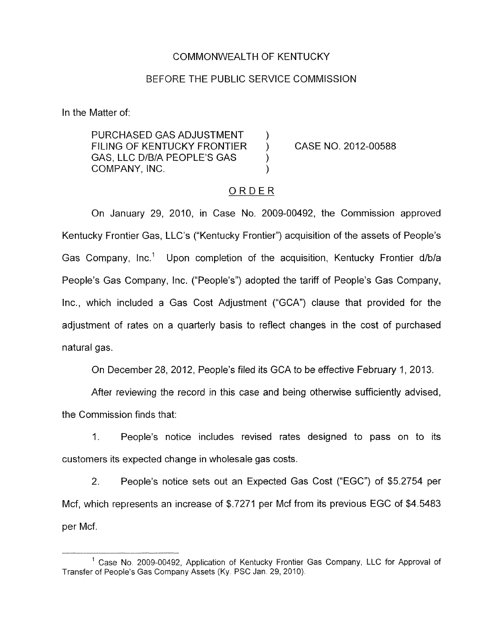## COMMONWEALTH OF KENTUCKY

## BEFORE THE PUBLIC SERVICE COMMISSION

In the Matter of:

PURCHASED GAS ADJUSTMENT FILING OF KENTUCKY FRONTIER ) CASE NO. 2012-00588 GAS, LLC D/B/A PEOPLE'S GAS ) COMPANY, INC.

## ORDER

On January 29, 2010, in Case No. 2009-00492, the Commission approved Kentucky Frontier Gas, LLC's ("Kentucky Frontier") acquisition of the assets of People's Gas Company, Inc.' Upon completion of the acquisition, Kentucky Frontier d/b/a People's Gas Company, Inc. ("People's") adopted the tariff of People's Gas Company, Inc., which included a Gas Cost Adjustment ("GCA") clause that provided for the adjustment of rates on a quarterly basis to reflect changes in the cost of purchased natural gas.

**On** December 28, 2012, People's filed its GCA to be effective February 1, 2013.

After reviewing the record in this case and being otherwise sufficiently advised, the Commission finds that:

1. People's notice includes revised rates designed to pass on to its customers its expected change in wholesale gas costs.

2. People's notice sets out an Expected Gas Cost ("EGC") of \$5.2754 per Mcf, which represents an increase of \$.7271 per Mcf from its previous EGC of \$4.5483 per Mcf.

<sup>&</sup>lt;sup>1</sup> Case No. 2009-00492, Application of Kentucky Frontier Gas Company, LLC for Approval of 'Transfer of People's Gas Company Assets **(Ky.** PSC Jan. 29, 2010).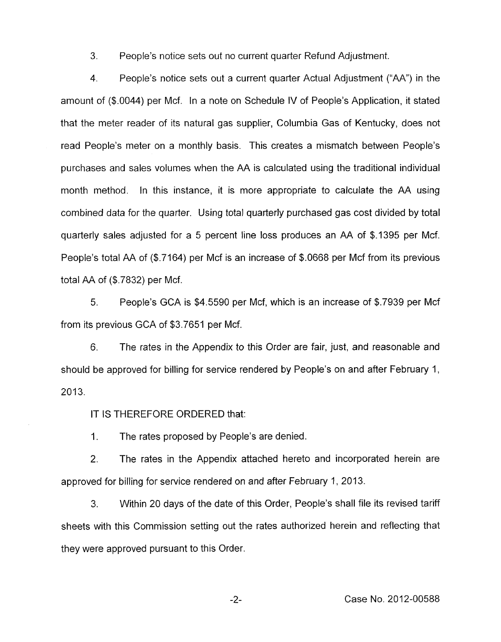3. People's notice sets out no current quarter Refund Adjustment.

4. People's notice sets out a current quarter Actual Adjustment ("AA'') in the amount of (\$.0044) per Mcf. In a note on Schedule IV of People's Application, it stated that the meter reader of its natural gas supplier, Columbia Gas of Kentucky, does not read People's meter on a monthly basis. This creates a mismatch between People's purchases and sales volumes when the AA is calculated using the traditional individual month method. In this instance, it is more appropriate to calculate the AA using combined data for the quarter. Using total quarterly purchased gas cost divided by total quarterly sales adjusted for a 5 percent line loss produces an AA of \$.I395 per Mcf. People's total AA of (\$.7164) per Mcf is an increase of \$.0668 per Mcf from its previous total AA of (\$.7832) per Mcf.

*5.* People's GCA is \$4.5590 per Mcf, which is an increase of \$.7939 per Mcf from its previous GCA of \$3.7651 per Mcf.

6. The rates in the Appendix to this Order are fair, just, and reasonable and should be approved for billing for service rendered by People's on and after February 1, 2013.

IT **IS** THEREFORE ORDERED that:

1. The rates proposed by People's are denied.

2, The rates in the Appendix attached hereto and incorporated herein are approved for billing for service rendered on and after February I, 2013.

3. Within 20 days of the date of this Order, People's shall file its revised tariff sheets with this Commission setting out the rates authorized herein and reflecting that they were approved pursuant to this Order.

-2- Case No. 2012-00588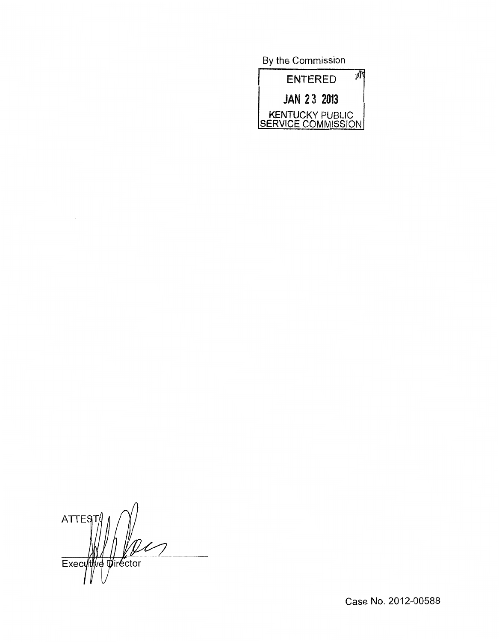By the Commission



**ATTES1** Executive Director

Case No. 2012-00588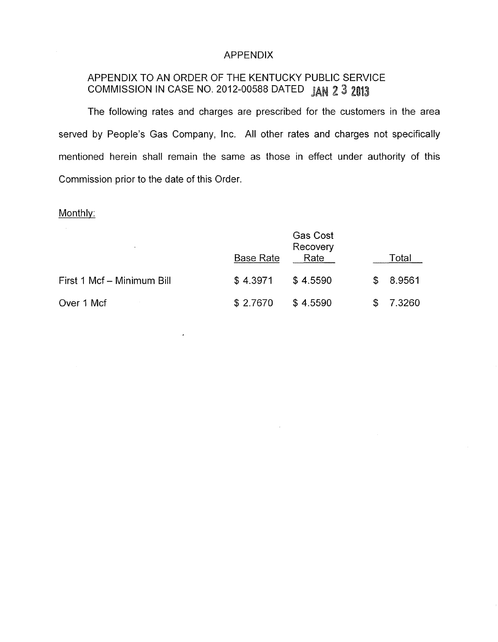## APPENDIX

# APPENDIX TO AN ORDER OF THE KENTUCKY PUBLIC SERVICE COMMISSION IN CASE NO. 2012-00588 DATED JAN 2 3 2013

The following rates and charges are prescribed for the customers in the area served by People's Gas Company, Inc. All other rates and charges not specifically mentioned herein shall remain the same as those in effect under authority of this Commission prior to the date of this Order.

#### Monthly:

| <b>M</b>                   | <b>Base Rate</b> | <b>Gas Cost</b><br>Recovery<br>Rate |    | Total    |
|----------------------------|------------------|-------------------------------------|----|----------|
| First 1 Mcf - Minimum Bill | \$4.3971         | \$4.5590                            |    | \$8.9561 |
| Over 1 Mcf                 | \$2.7670         | \$4.5590                            | S. | 7.3260   |

 $\epsilon$